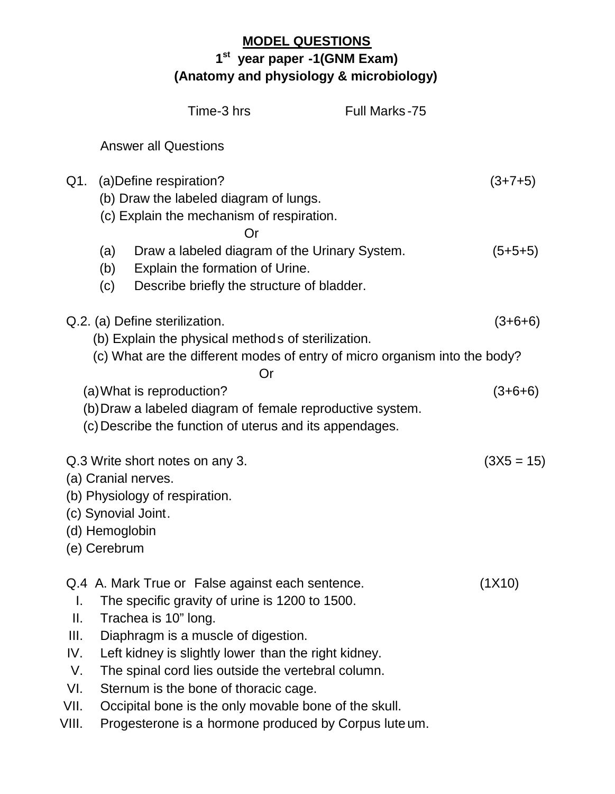## **MODEL QUESTIONS 1 st year paper -1(GNM Exam) (Anatomy and physiology & microbiology)**

|                                                       |                                | Time-3 hrs                                                                                                                                                                                                                                                                                                                                                                                                                                 | <b>Full Marks-75</b> |              |
|-------------------------------------------------------|--------------------------------|--------------------------------------------------------------------------------------------------------------------------------------------------------------------------------------------------------------------------------------------------------------------------------------------------------------------------------------------------------------------------------------------------------------------------------------------|----------------------|--------------|
|                                                       |                                | <b>Answer all Questions</b>                                                                                                                                                                                                                                                                                                                                                                                                                |                      |              |
| Q1.                                                   |                                | (a) Define respiration?<br>(b) Draw the labeled diagram of lungs.<br>(c) Explain the mechanism of respiration.<br>Ωr                                                                                                                                                                                                                                                                                                                       |                      | $(3+7+5)$    |
|                                                       | (a)<br>(b)<br>(c)              | Draw a labeled diagram of the Urinary System.<br>Explain the formation of Urine.<br>Describe briefly the structure of bladder.                                                                                                                                                                                                                                                                                                             |                      | $(5+5+5)$    |
|                                                       |                                | Q.2. (a) Define sterilization.                                                                                                                                                                                                                                                                                                                                                                                                             |                      | $(3+6+6)$    |
|                                                       |                                | (b) Explain the physical methods of sterilization.<br>(c) What are the different modes of entry of micro organism into the body?                                                                                                                                                                                                                                                                                                           |                      |              |
|                                                       |                                | Or<br>(a) What is reproduction?<br>(b) Draw a labeled diagram of female reproductive system.<br>(c) Describe the function of uterus and its appendages.                                                                                                                                                                                                                                                                                    |                      | $(3+6+6)$    |
|                                                       | (d) Hemoglobin<br>(e) Cerebrum | Q.3 Write short notes on any 3.<br>(a) Cranial nerves.<br>(b) Physiology of respiration.<br>(c) Synovial Joint.                                                                                                                                                                                                                                                                                                                            |                      | $(3X5 = 15)$ |
| Τ.<br>Ш.<br>III.<br>IV.<br>V.<br>VI.<br>VII.<br>VIII. |                                | Q.4 A. Mark True or False against each sentence.<br>The specific gravity of urine is 1200 to 1500.<br>Trachea is 10" long.<br>Diaphragm is a muscle of digestion.<br>Left kidney is slightly lower than the right kidney.<br>The spinal cord lies outside the vertebral column.<br>Sternum is the bone of thoracic cage.<br>Occipital bone is the only movable bone of the skull.<br>Progesterone is a hormone produced by Corpus lute um. |                      | (1X10)       |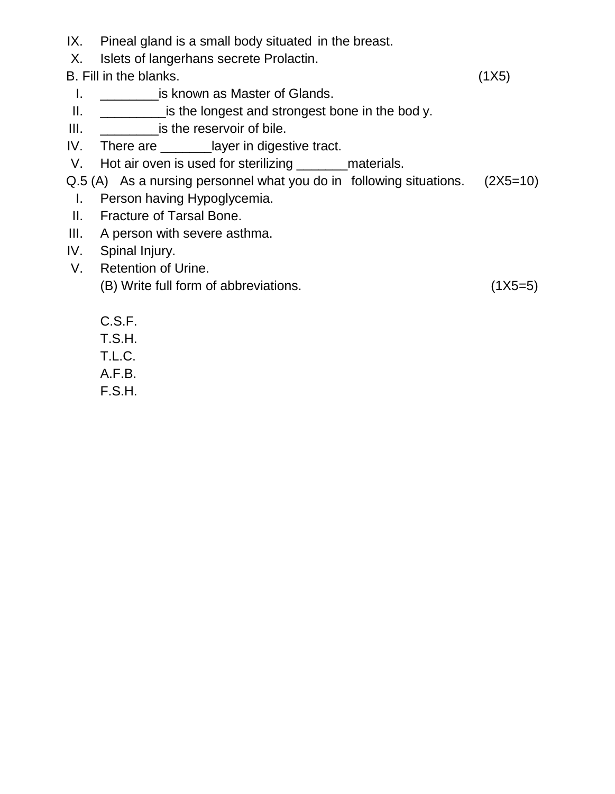- IX. Pineal gland is a small body situated in the breast.
- X. Islets of langerhans secrete Prolactin.

- I. **\_\_\_\_\_\_\_\_\_\_\_\_is known as Master of Glands.**
- II. \_\_\_\_\_\_\_\_\_\_\_\_\_\_\_\_is the longest and strongest bone in the bod y.
- III. \_\_\_\_\_\_\_\_is the reservoir of bile.
- IV. There are \_\_\_\_\_\_\_layer in digestive tract.
- V. Hot air oven is used for sterilizing \_\_\_\_\_\_\_\_materials.
- Q.5 (A) As a nursing personnel what you do in following situations. (2X5=10)
	- I. Person having Hypoglycemia.
- II. Fracture of Tarsal Bone.
- III. A person with severe asthma.
- IV. Spinal Injury.
- V. Retention of Urine. (B) Write full form of abbreviations. (1X5=5)

- C.S.F.
- T.S.H.
- T.L.C.
- A.F.B.
- F.S.H.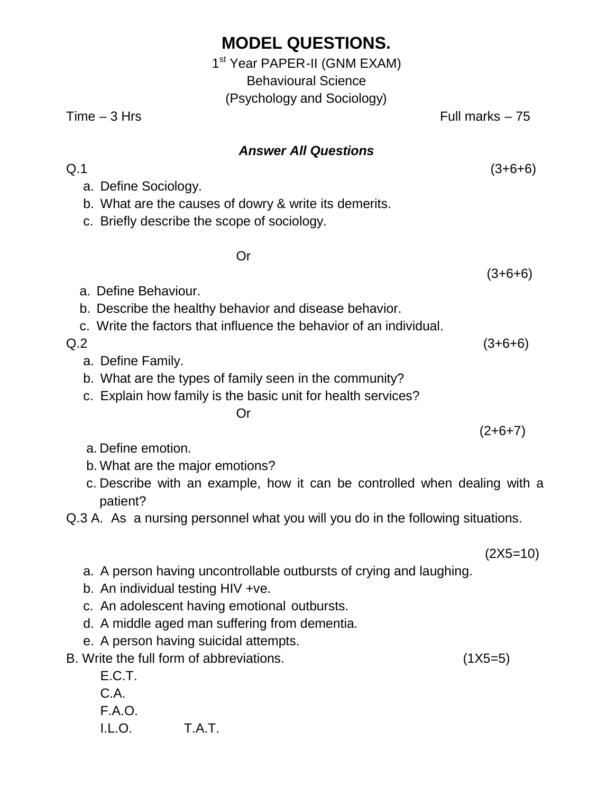|                | 1 <sup>st</sup> Year PAPER-II (GNM EXAM) |                  |
|----------------|------------------------------------------|------------------|
|                | <b>Behavioural Science</b>               |                  |
|                | (Psychology and Sociology)               |                  |
| $Time - 3 Hrs$ |                                          | Full marks $-75$ |
|                |                                          |                  |

#### *Answer All Questions*

 $Q.1$  (3+6+6)

- a. Define Sociology.
- b. What are the causes of dowry & write its demerits.
- c. Briefly describe the scope of sociology.

Or

(3+6+6)

- a. Define Behaviour. b. Describe the healthy behavior and disease behavior. c. Write the factors that influence the behavior of an individual.  $Q.2$  (3+6+6) a. Define Family. b. What are the types of family seen in the community? c. Explain how family is the basic unit for health services? Or  $(2+6+7)$ 
	- a. Define emotion.
	- b. What are the major emotions?
	- c. Describe with an example, how it can be controlled when dealing with a patient?

Q.3 A. As a nursing personnel what you will you do in the following situations.

(2X5=10)

- a. A person having uncontrollable outbursts of crying and laughing.
- b. An individual testing HIV +ve.
- c. An adolescent having emotional outbursts.
- d. A middle aged man suffering from dementia.
- e. A person having suicidal attempts.
- B. Write the full form of abbreviations. (1X5=5)

E.C.T.

C.A.

F.A.O. I.L.O. T.A.T.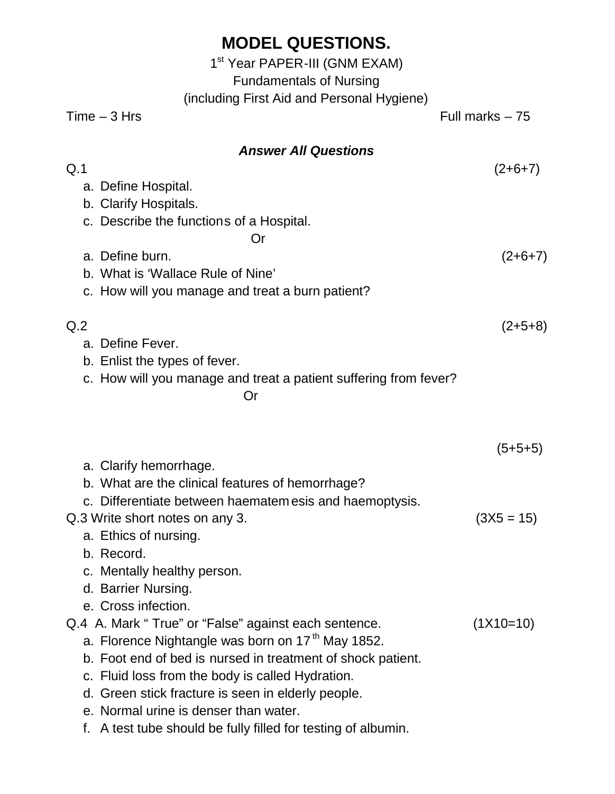|                | 1 <sup>st</sup> Year PAPER-III (GNM EXAM)<br><b>Fundamentals of Nursing</b><br>(including First Aid and Personal Hygiene)                                                                                                                                                                      |                        |
|----------------|------------------------------------------------------------------------------------------------------------------------------------------------------------------------------------------------------------------------------------------------------------------------------------------------|------------------------|
|                | $Time - 3 Hrs$                                                                                                                                                                                                                                                                                 | Full marks $-75$       |
| Q.1            | <b>Answer All Questions</b>                                                                                                                                                                                                                                                                    |                        |
|                | a. Define Hospital.<br>b. Clarify Hospitals.<br>c. Describe the functions of a Hospital.<br>Or<br>a. Define burn.<br>b. What is 'Wallace Rule of Nine'<br>c. How will you manage and treat a burn patient?                                                                                     | $(2+6+7)$<br>$(2+6+7)$ |
| Q <sub>2</sub> | a. Define Fever.<br>b. Enlist the types of fever.<br>c. How will you manage and treat a patient suffering from fever?<br>Or                                                                                                                                                                    | $(2+5+8)$              |
|                | a. Clarify hemorrhage.<br>b. What are the clinical features of hemorrhage?                                                                                                                                                                                                                     | $(5+5+5)$              |
|                | c. Differentiate between haematem esis and haemoptysis.<br>Q.3 Write short notes on any 3.<br>a. Ethics of nursing.<br>b. Record.<br>c. Mentally healthy person.<br>d. Barrier Nursing.<br>e. Cross infection.                                                                                 | $(3X5 = 15)$           |
|                | Q.4 A. Mark "True" or "False" against each sentence.<br>a. Florence Nightangle was born on 17 <sup>th</sup> May 1852.<br>b. Foot end of bed is nursed in treatment of shock patient.<br>c. Fluid loss from the body is called Hydration.<br>d. Green stick fracture is seen in elderly people. | $(1X10=10)$            |

- e. Normal urine is denser than water.
- f. A test tube should be fully filled for testing of albumin.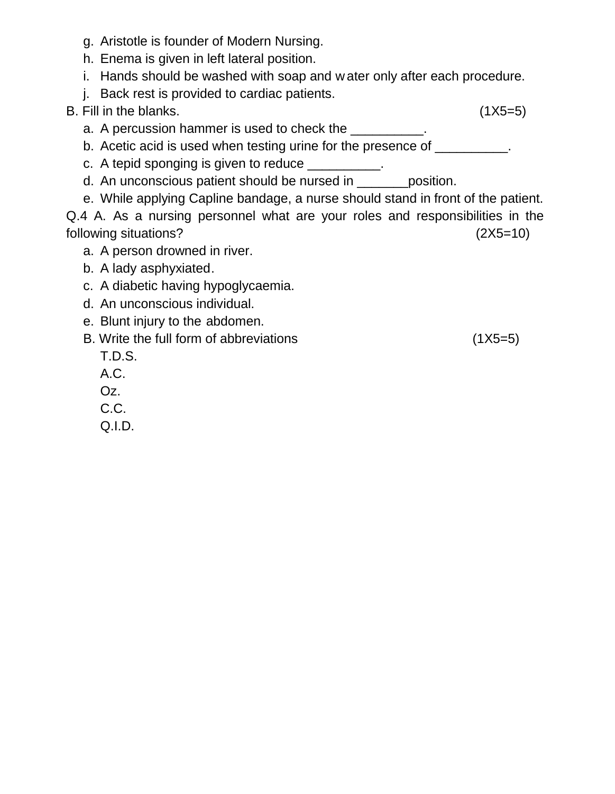- g. Aristotle is founder of Modern Nursing.
- h. Enema is given in left lateral position.
- i. Hands should be washed with soap and w ater only after each procedure.
- j. Back rest is provided to cardiac patients.

- a. A percussion hammer is used to check the \_\_\_\_\_\_\_\_\_\_.
- b. Acetic acid is used when testing urine for the presence of \_\_\_\_\_\_\_\_\_\_\_\_.
- c. A tepid sponging is given to reduce \_\_\_\_\_\_\_\_\_\_.
- d. An unconscious patient should be nursed in position.
- e. While applying Capline bandage, a nurse should stand in front of the patient.

- a. A person drowned in river.
- b. A lady asphyxiated.
- c. A diabetic having hypoglycaemia.
- d. An unconscious individual.
- e. Blunt injury to the abdomen.
- B. Write the full form of abbreviations (1X5=5)
	- T.D.S.
	- A.C.
	- Oz.
	- C.C.
	- Q.I.D.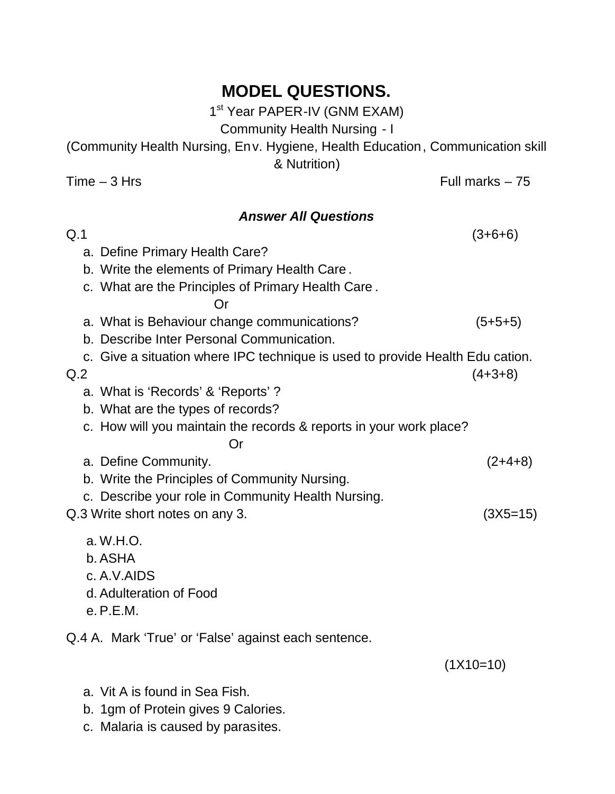1<sup>st</sup> Year PAPER-IV (GNM EXAM)

Community Health Nursing - I

(Community Health Nursing, Env. Hygiene, Health Education, Communication skill & Nutrition)

 $Time - 3 Hrs$  Full marks  $- 75$ 

### *Answer All Questions*

| Q.1            |                                                                               | $(3+6+6)$   |
|----------------|-------------------------------------------------------------------------------|-------------|
|                | a. Define Primary Health Care?                                                |             |
|                | b. Write the elements of Primary Health Care.                                 |             |
|                | c. What are the Principles of Primary Health Care.                            |             |
|                | Or                                                                            |             |
|                | a. What is Behaviour change communications?                                   | $(5+5+5)$   |
|                | b. Describe Inter Personal Communication.                                     |             |
|                | c. Give a situation where IPC technique is used to provide Health Edu cation. |             |
| Q <sub>2</sub> |                                                                               | $(4+3+8)$   |
|                | a. What is 'Records' & 'Reports'?                                             |             |
|                | b. What are the types of records?                                             |             |
|                | c. How will you maintain the records & reports in your work place?            |             |
|                | Or                                                                            |             |
|                | a. Define Community.                                                          | $(2+4+8)$   |
|                | b. Write the Principles of Community Nursing.                                 |             |
|                | c. Describe your role in Community Health Nursing.                            |             |
|                | Q.3 Write short notes on any 3.                                               | $(3X5=15)$  |
|                | a. W.H.O.                                                                     |             |
|                | b. ASHA                                                                       |             |
|                | c. A.V.AIDS                                                                   |             |
|                | d. Adulteration of Food                                                       |             |
|                | e. P.E.M.                                                                     |             |
|                | Q.4 A. Mark 'True' or 'False' against each sentence.                          |             |
|                |                                                                               | $(1X10=10)$ |
|                |                                                                               |             |

- a. Vit A is found in Sea Fish.
- b. 1gm of Protein gives 9 Calories.
- c. Malaria is caused by parasites.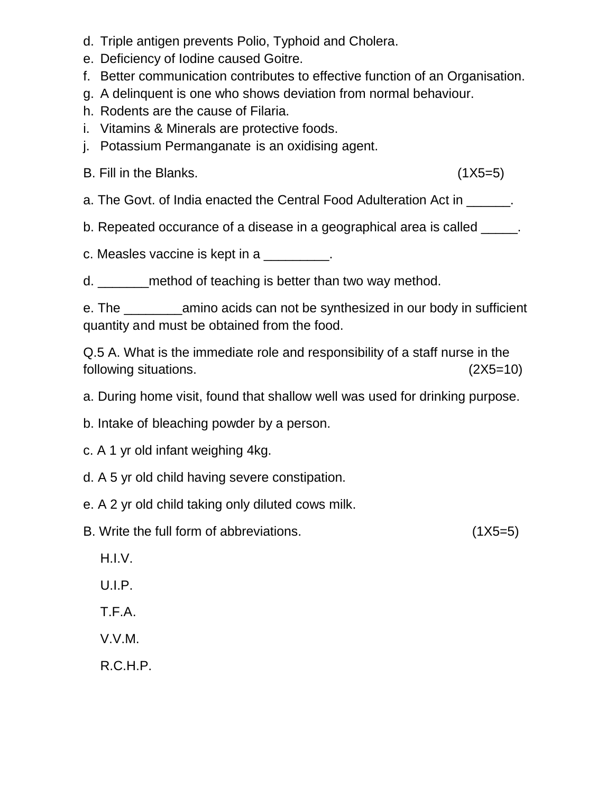- d. Triple antigen prevents Polio, Typhoid and Cholera.
- e. Deficiency of Iodine caused Goitre.
- f. Better communication contributes to effective function of an Organisation.
- g. A delinquent is one who shows deviation from normal behaviour.
- h. Rodents are the cause of Filaria.
- i. Vitamins & Minerals are protective foods.
- j. Potassium Permanganate is an oxidising agent.

a. The Govt. of India enacted the Central Food Adulteration Act in \_\_\_\_\_\_.

b. Repeated occurance of a disease in a geographical area is called \_\_\_\_\_\_.

c. Measles vaccine is kept in a

d. \_\_\_\_\_\_\_method of teaching is better than two way method.

e. The \_\_\_\_\_\_\_\_amino acids can not be synthesized in our body in sufficient quantity and must be obtained from the food.

Q.5 A. What is the immediate role and responsibility of a staff nurse in the following situations. (2X5=10)

a. During home visit, found that shallow well was used for drinking purpose.

b. Intake of bleaching powder by a person.

c. A 1 yr old infant weighing 4kg.

d. A 5 yr old child having severe constipation.

e. A 2 yr old child taking only diluted cows milk.

B. Write the full form of abbreviations. (1X5=5)

H.I.V.

U.I.P.

T.F.A.

V.V.M.

R.C.H.P.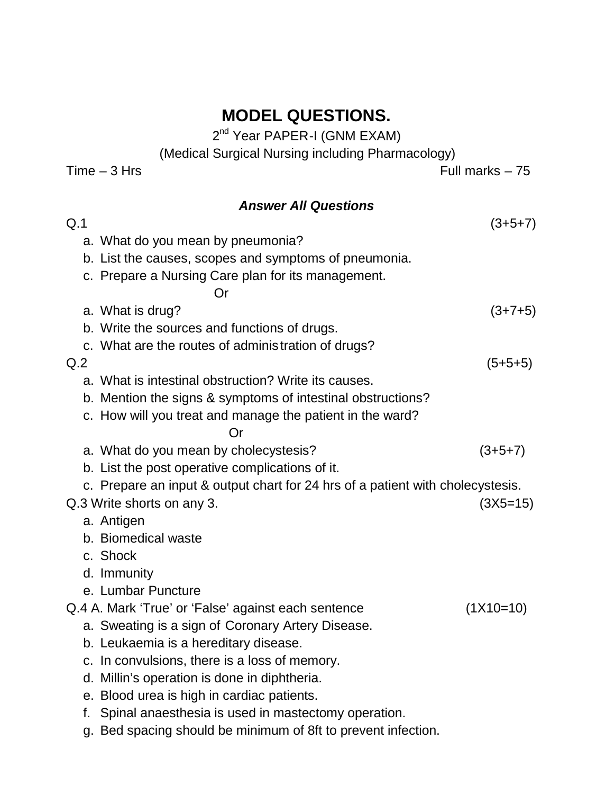2<sup>nd</sup> Year PAPER-I (GNM EXAM)

(Medical Surgical Nursing including Pharmacology)

Time – 3 Hrs

## *Answer All Questions*  $Q.1$  (3+5+7) a. What do you mean by pneumonia? b. List the causes, scopes and symptoms of pneumonia. c. Prepare a Nursing Care plan for its management. Or a. What is drug?  $(3+7+5)$ b. Write the sources and functions of drugs. c. What are the routes of adminis tration of drugs?  $Q.2$  (5+5+5) a. What is intestinal obstruction? Write its causes. b. Mention the signs & symptoms of intestinal obstructions? c. How will you treat and manage the patient in the ward? Or a. What do you mean by cholecystesis?  $(3+5+7)$ b. List the post operative complications of it. c. Prepare an input & output chart for 24 hrs of a patient with cholecystesis. Q.3 Write shorts on any 3. (3X5=15) a. Antigen b. Biomedical waste c. Shock d. Immunity e. Lumbar Puncture Q.4 A. Mark 'True' or 'False' against each sentence (1X10=10) a. Sweating is a sign of Coronary Artery Disease. b. Leukaemia is a hereditary disease. c. In convulsions, there is a loss of memory. d. Millin's operation is done in diphtheria. e. Blood urea is high in cardiac patients. f. Spinal anaesthesia is used in mastectomy operation.

g. Bed spacing should be minimum of 8ft to prevent infection.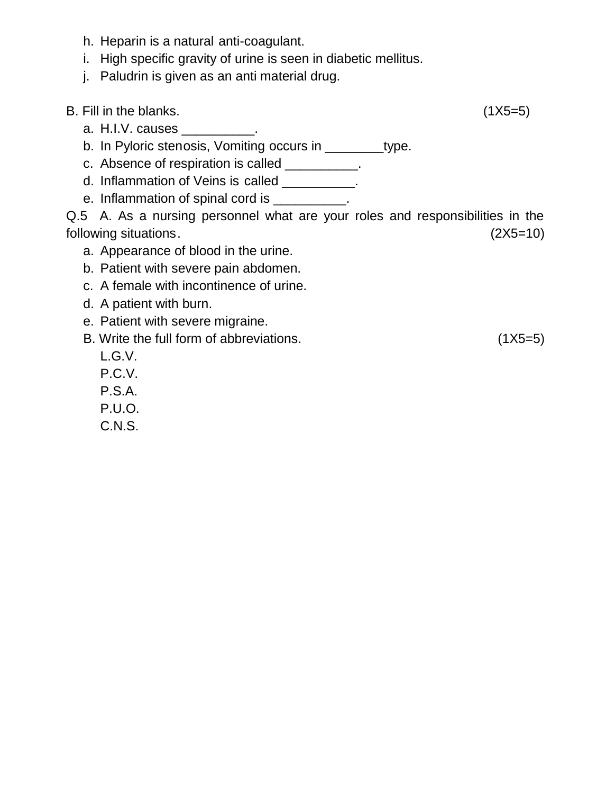- h. Heparin is a natural anti-coagulant.
- i. High specific gravity of urine is seen in diabetic mellitus.
- j. Paludrin is given as an anti material drug.

- a. H.I.V. causes \_\_\_\_\_\_\_\_\_\_.
- b. In Pyloric stenosis, Vomiting occurs in \_\_\_\_\_\_\_\_type.
- c. Absence of respiration is called \_\_\_\_\_\_\_\_\_\_.
- d. Inflammation of Veins is called \_\_\_\_\_\_\_\_\_.
- e. Inflammation of spinal cord is \_\_\_\_\_\_\_\_\_.

- a. Appearance of blood in the urine.
- b. Patient with severe pain abdomen.
- c. A female with incontinence of urine.
- d. A patient with burn.
- e. Patient with severe migraine.
- B. Write the full form of abbreviations. (1X5=5)
- 

- L.G.V.
- P.C.V.
- P.S.A.
- P.U.O.
- C.N.S.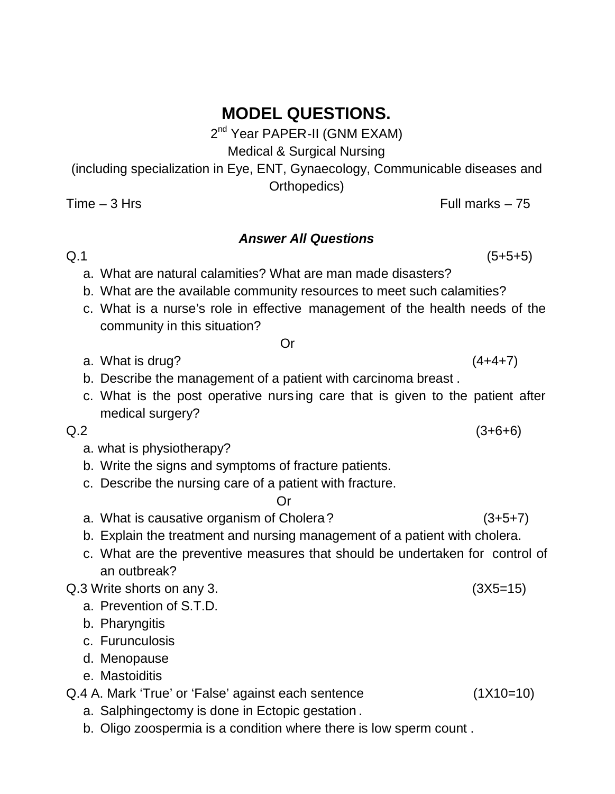2<sup>nd</sup> Year PAPER-II (GNM EXAM)

Medical & Surgical Nursing

(including specialization in Eye, ENT, Gynaecology, Communicable diseases and Orthopedics)

 $Time - 3 Hrs$  Full marks  $- 75$ 

#### *Answer All Questions*

 $Q.1$  (5+5+5)

- a. What are natural calamities? What are man made disasters?
- b. What are the available community resources to meet such calamities?
- c. What is a nurse's role in effective management of the health needs of the community in this situation?

#### Or

- a. What is drug?  $(4+4+7)$
- b. Describe the management of a patient with carcinoma breast .
- c. What is the post operative nurs ing care that is given to the patient after medical surgery?

a. what is physiotherapy?

- b. Write the signs and symptoms of fracture patients.
- c. Describe the nursing care of a patient with fracture.

Or

- a. What is causative organism of Cholera? (3+5+7)
- b. Explain the treatment and nursing management of a patient with cholera.
- c. What are the preventive measures that should be undertaken for control of an outbreak?

Q.3 Write shorts on any 3. (3X5=15)

- a. Prevention of S.T.D.
- b. Pharyngitis
- c. Furunculosis
- d. Menopause
- e. Mastoiditis

Q.4 A. Mark 'True' or 'False' against each sentence (1X10=10)

- a. Salphingectomy is done in Ectopic gestation .
- b. Oligo zoospermia is a condition where there is low sperm count .

 $Q.2$  (3+6+6)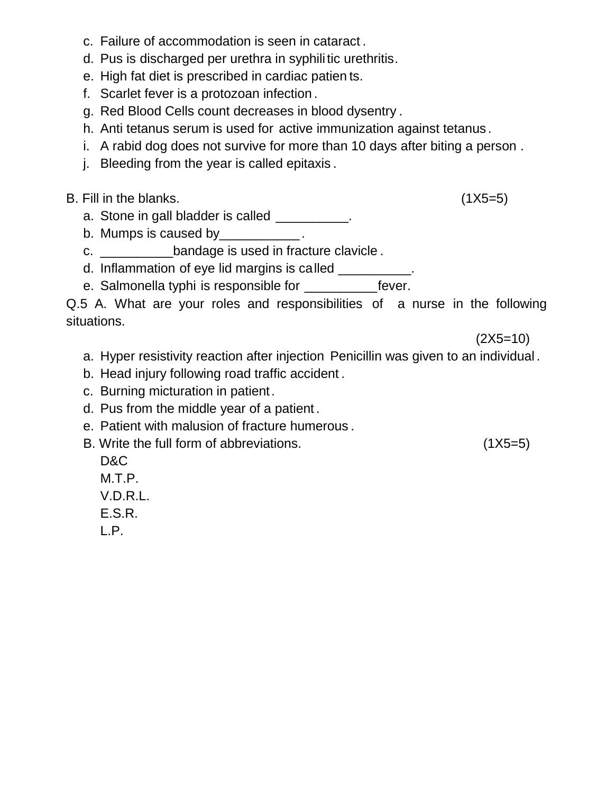- c. Failure of accommodation is seen in cataract .
- d. Pus is discharged per urethra in syphilitic urethritis.
- e. High fat diet is prescribed in cardiac patien ts.
- f. Scarlet fever is a protozoan infection .
- g. Red Blood Cells count decreases in blood dysentry .
- h. Anti tetanus serum is used for active immunization against tetanus .
- i. A rabid dog does not survive for more than 10 days after biting a person .
- j. Bleeding from the year is called epitaxis .

- a. Stone in gall bladder is called \_\_\_\_\_\_\_\_\_.
- b. Mumps is caused by Fig.  $\blacksquare$
- c. \_\_\_\_\_\_\_\_\_\_bandage is used in fracture clavicle .
- d. Inflammation of eye lid margins is called \_\_\_\_\_\_\_\_\_\_
- e. Salmonella typhi is responsible for \_\_\_\_\_\_\_\_\_\_\_\_\_fever.

Q.5 A. What are your roles and responsibilities of a nurse in the following situations.

 $(2X5=10)$ 

- a. Hyper resistivity reaction after injection Penicillin was given to an individual .
- b. Head injury following road traffic accident .
- c. Burning micturation in patient.
- d. Pus from the middle year of a patient .
- e. Patient with malusion of fracture humerous .
- B. Write the full form of abbreviations. (1X5=5)
	- D&C
	- M.T.P.
	- V.D.R.L.
	- E.S.R.
	- L.P.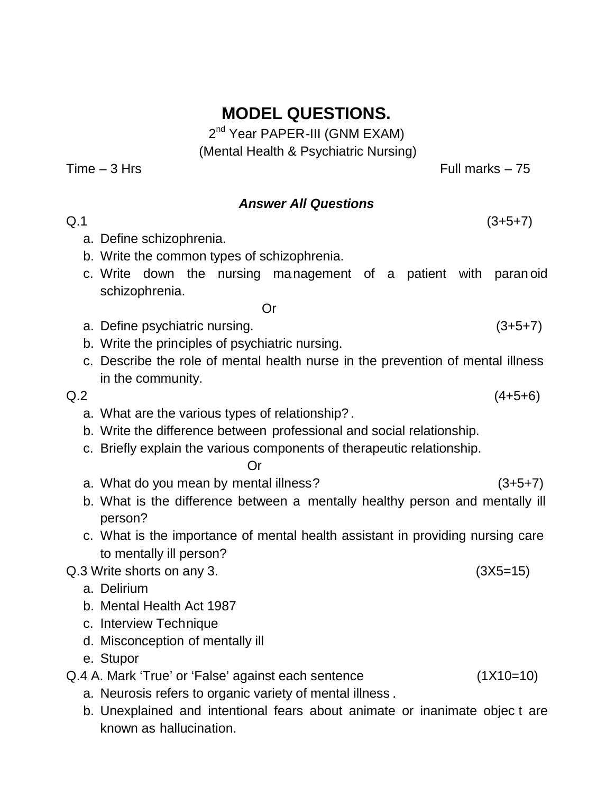2<sup>nd</sup> Year PAPER-III (GNM EXAM) (Mental Health & Psychiatric Nursing)

 $Time - 3 Hrs$  Full marks  $- 75$ 

#### *Answer All Questions*

- $Q.1$  (3+5+7) a. Define schizophrenia.
	- b. Write the common types of schizophrenia.
	- c. Write down the nursing management of a patient with paran oid schizophrenia.
		- Or
	- a. Define psychiatric nursing. (3+5+7)
	- b. Write the principles of psychiatric nursing.
	- c. Describe the role of mental health nurse in the prevention of mental illness in the community.
- - a. What are the various types of relationship? .
	- b. Write the difference between professional and social relationship.
	- c. Briefly explain the various components of therapeutic relationship.

Or

- a. What do you mean by mental illness?  $(3+5+7)$
- b. What is the difference between a mentally healthy person and mentally ill person?
- c. What is the importance of mental health assistant in providing nursing care to mentally ill person?

Q.3 Write shorts on any 3. (3X5=15)

- a. Delirium
- b. Mental Health Act 1987
- c. Interview Technique
- d. Misconception of mentally ill

e. Stupor

- Q.4 A. Mark 'True' or 'False' against each sentence (1X10=10)
	- a. Neurosis refers to organic variety of mental illness .
	- b. Unexplained and intentional fears about animate or inanimate objec t are known as hallucination.

 $Q.2$  (4+5+6)

- 
-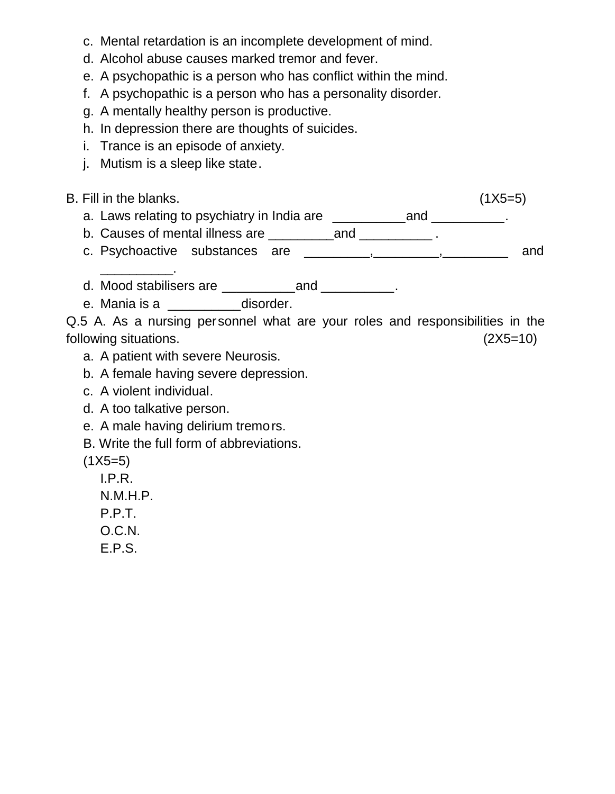- c. Mental retardation is an incomplete development of mind.
- d. Alcohol abuse causes marked tremor and fever.
- e. A psychopathic is a person who has conflict within the mind.
- f. A psychopathic is a person who has a personality disorder.
- g. A mentally healthy person is productive.
- h. In depression there are thoughts of suicides.
- i. Trance is an episode of anxiety.
- j. Mutism is a sleep like state.

\_\_\_\_\_\_\_\_\_\_.

- B. Fill in the blanks. (1X5=5)
	- a. Laws relating to psychiatry in India are \_\_\_\_\_\_\_\_\_\_\_and \_\_\_\_\_\_\_\_\_\_.
	- b. Causes of mental illness are \_\_\_\_\_\_\_\_\_\_\_\_\_\_\_\_\_\_\_\_\_\_\_\_\_\_\_\_\_\_\_\_.
	- c. Psychoactive substances are \_\_\_\_\_\_\_\_\_\_, \_\_\_\_\_\_\_\_\_, \_\_\_\_\_\_\_\_ and
	- d. Mood stabilisers are \_\_\_\_\_\_\_\_\_\_and \_\_\_\_\_\_\_\_\_\_.
	- e. Mania is a \_\_\_\_\_\_\_\_\_\_\_disorder.

- a. A patient with severe Neurosis.
- b. A female having severe depression.
- c. A violent individual.
- d. A too talkative person.
- e. A male having delirium tremors.
- B. Write the full form of abbreviations.
- $(1X5=5)$ 
	- I.P.R.
	- N.M.H.P.
	- P.P.T.
	- O.C.N.
	- E.P.S.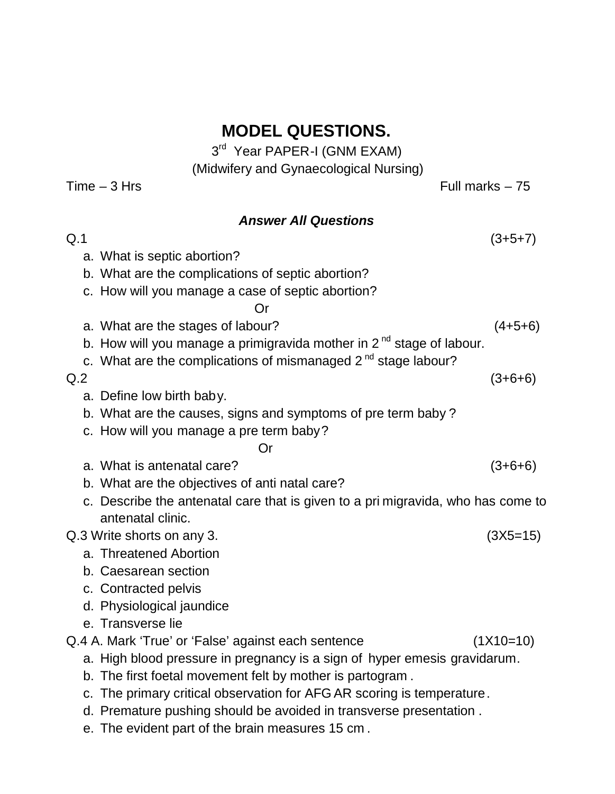3<sup>rd</sup> Year PAPER-I (GNM EXAM)

(Midwifery and Gynaecological Nursing)  $Time - 3 Hrs$  Full marks  $- 75$ *Answer All Questions*  $Q.1$  (3+5+7) a. What is septic abortion? b. What are the complications of septic abortion? c. How will you manage a case of septic abortion? Or a. What are the stages of labour? (4+5+6) b. How will you manage a primigravida mother in  $2<sup>nd</sup>$  stage of labour. c. What are the complications of mismanaged  $2<sup>nd</sup>$  stage labour?  $Q.2$  (3+6+6) a. Define low birth baby. b. What are the causes, signs and symptoms of pre term baby ? c. How will you manage a pre term baby? Or a. What is antenatal care? (3+6+6) b. What are the objectives of anti natal care? c. Describe the antenatal care that is given to a pri migravida, who has come to antenatal clinic. Q.3 Write shorts on any 3. (3X5=15) a. Threatened Abortion b. Caesarean section c. Contracted pelvis d. Physiological jaundice e. Transverse lie Q.4 A. Mark 'True' or 'False' against each sentence (1X10=10) a. High blood pressure in pregnancy is a sign of hyper emesis gravidarum. b. The first foetal movement felt by mother is partogram . c. The primary critical observation for AFG AR scoring is temperature.

- d. Premature pushing should be avoided in transverse presentation .
- e. The evident part of the brain measures 15 cm .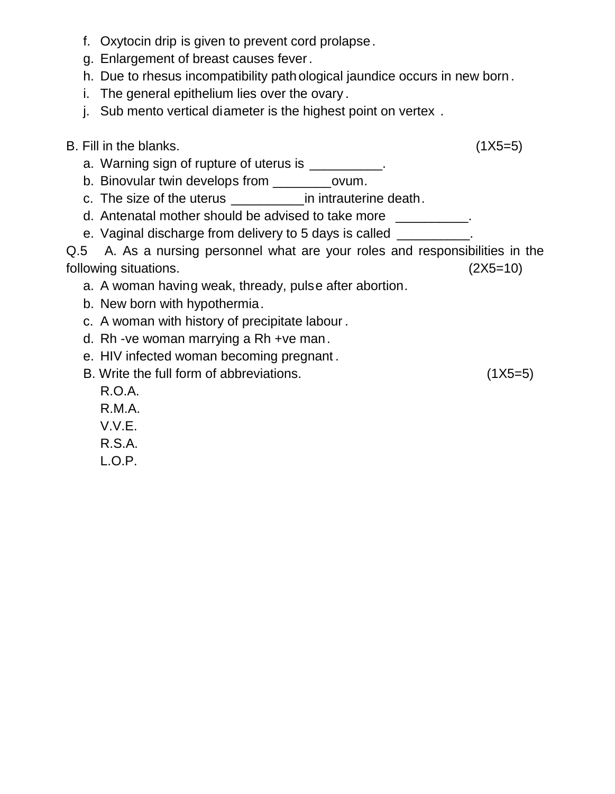- f. Oxytocin drip is given to prevent cord prolapse.
- g. Enlargement of breast causes fever.
- h. Due to rhesus incompatibility path ological jaundice occurs in new born .
- i. The general epithelium lies over the ovary .
- j. Sub mento vertical diameter is the highest point on vertex .

a. Warning sign of rupture of uterus is \_\_\_\_\_\_\_\_\_\_.

b. Binovular twin develops from \_\_\_\_\_\_\_\_ovum.

- c. The size of the uterus \_\_\_\_\_\_\_\_\_\_in intrauterine death.
- d. Antenatal mother should be advised to take more \_\_\_\_\_\_\_\_\_\_.

e. Vaginal discharge from delivery to 5 days is called

- a. A woman having weak, thready, pulse after abortion.
- b. New born with hypothermia.
- c. A woman with history of precipitate labour .
- d. Rh -ve woman marrying a Rh +ve man.
- e. HIV infected woman becoming pregnant .
- B. Write the full form of abbreviations. (1X5=5)

- R.O.A.
- R.M.A.
- V.V.E.
- R.S.A.
- L.O.P.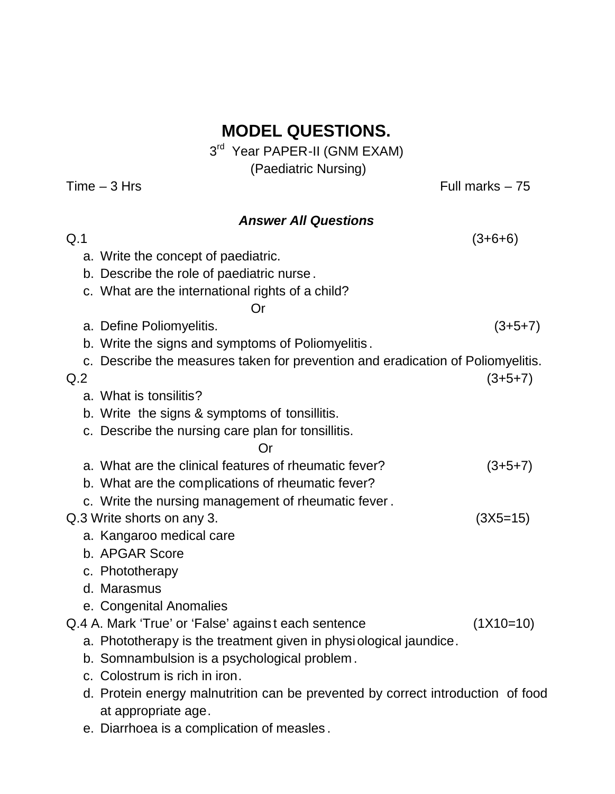3<sup>rd</sup> Year PAPER-II (GNM EXAM) (Paediatric Nursing)

 $Time - 3 Hrs$  Full marks  $- 75$ *Answer All Questions*  $Q.1$  (3+6+6) a. Write the concept of paediatric. b. Describe the role of paediatric nurse . c. What are the international rights of a child? Or a. Define Poliomyelitis. (3+5+7) b. Write the signs and symptoms of Poliomyelitis . c. Describe the measures taken for prevention and eradication of Poliomyelitis.  $Q.2$  (3+5+7) a. What is tonsilitis? b. Write the signs & symptoms of tonsillitis. c. Describe the nursing care plan for tonsillitis. Or a. What are the clinical features of rheumatic fever? (3+5+7) b. What are the complications of rheumatic fever? c. Write the nursing management of rheumatic fever . Q.3 Write shorts on any 3. (3X5=15) a. Kangaroo medical care b. APGAR Score c. Phototherapy d. Marasmus e. Congenital Anomalies Q.4 A. Mark 'True' or 'False' agains t each sentence (1X10=10) a. Phototherapy is the treatment given in physiological jaundice. b. Somnambulsion is a psychological problem . c. Colostrum is rich in iron. d. Protein energy malnutrition can be prevented by correct introduction of food

e. Diarrhoea is a complication of measles .

at appropriate age.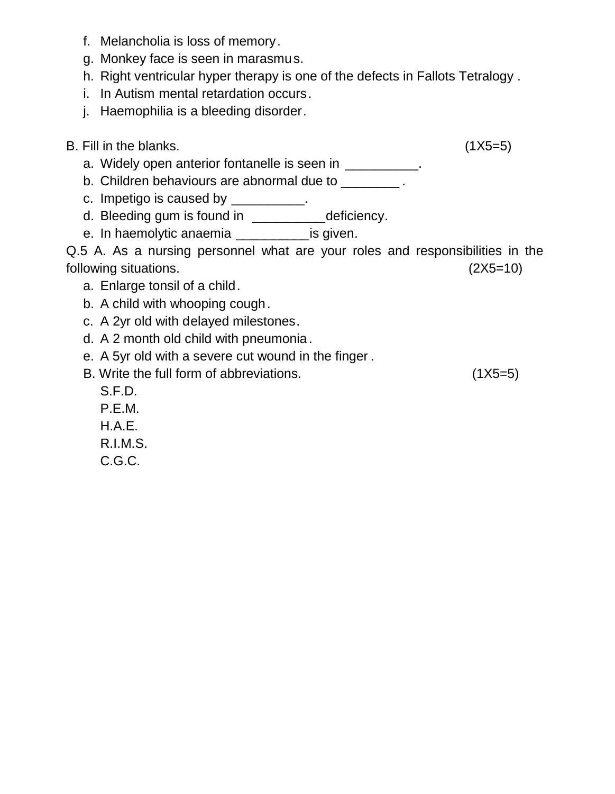- f. Melancholia is loss of memory.
- g. Monkey face is seen in marasmus.
- h. Right ventricular hyper therapy is one of the defects in Fallots Tetralogy .
- i. In Autism mental retardation occurs.
- j. Haemophilia is a bleeding disorder.

- a. Widely open anterior fontanelle is seen in \_\_\_\_\_\_\_\_\_\_\_.
- b. Children behaviours are abnormal due to \_\_\_\_\_\_\_\_.
- c. Impetigo is caused by \_\_\_\_\_\_\_\_\_\_.
- d. Bleeding gum is found in \_\_\_\_\_\_\_\_\_\_\_deficiency.
- e. In haemolytic anaemia \_\_\_\_\_\_\_\_\_\_\_\_is given.

- a. Enlarge tonsil of a child.
- b. A child with whooping cough.
- c. A 2yr old with delayed milestones.
- d. A 2 month old child with pneumonia.
- e. A 5yr old with a severe cut wound in the finger .
- B. Write the full form of abbreviations. (1X5=5)
	- S.F.D.
	- P.E.M. H.A.E.
	- R.I.M.S.
	- C.G.C.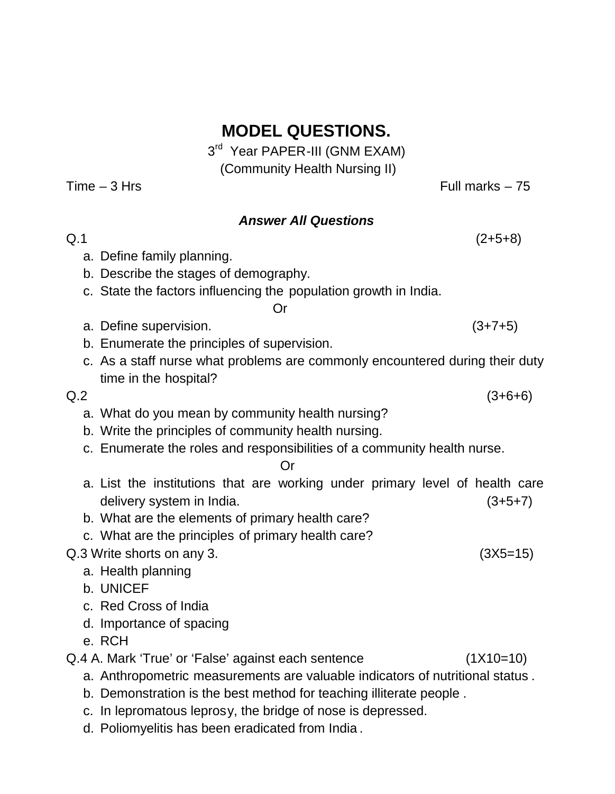3<sup>rd</sup> Year PAPER-III (GNM EXAM) (Community Health Nursing II)

 $Time - 3$  Hrs Full marks – 75

## *Answer All Questions*

- $Q.1$  (2+5+8) a. Define family planning.
	- b. Describe the stages of demography.
	- c. State the factors influencing the population growth in India.

Or

- a. Define supervision. (3+7+5)
- b. Enumerate the principles of supervision.
- c. As a staff nurse what problems are commonly encountered during their duty time in the hospital?

- a. What do you mean by community health nursing?
- b. Write the principles of community health nursing.
- c. Enumerate the roles and responsibilities of a community health nurse.

#### Or

- a. List the institutions that are working under primary level of health care delivery system in India. (3+5+7)
- b. What are the elements of primary health care?
- c. What are the principles of primary health care?

### Q.3 Write shorts on any 3. (3X5=15)

- a. Health planning
- b. UNICEF
- c. Red Cross of India
- d. Importance of spacing
- e. RCH
- Q.4 A. Mark 'True' or 'False' against each sentence (1X10=10)
	- a. Anthropometric measurements are valuable indicators of nutritional status .
	- b. Demonstration is the best method for teaching illiterate people .
	- c. In lepromatous leprosy, the bridge of nose is depressed.
	- d. Poliomyelitis has been eradicated from India .

 $Q.2$  (3+6+6)